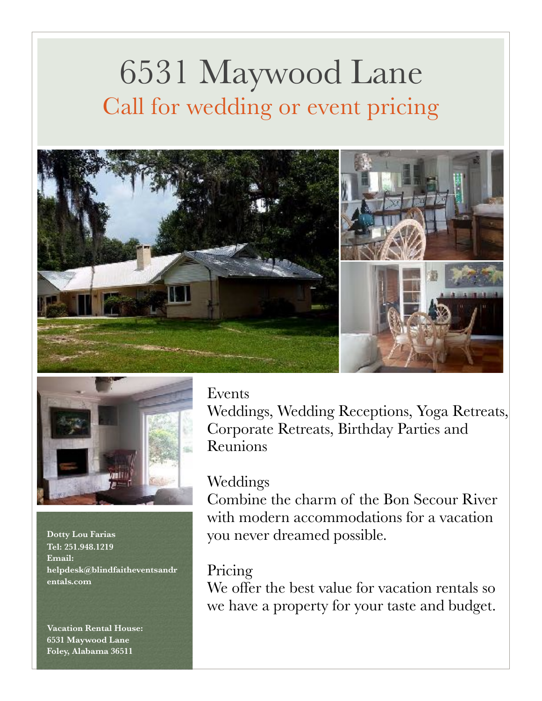## 6531 Maywood Lane Call for wedding or event pricing





**Dotty Lou Farias Tel: 251.948.1219 Email: helpdesk@blindfaitheventsandr entals.com** 

**Vacation Rental House: 6531 Maywood Lane Foley, Alabama 36511**

## Events

Weddings, Wedding Receptions, Yoga Retreats, Corporate Retreats, Birthday Parties and Reunions

## Weddings

Combine the charm of the Bon Secour River with modern accommodations for a vacation you never dreamed possible.

## Pricing

We offer the best value for vacation rentals so we have a property for your taste and budget.